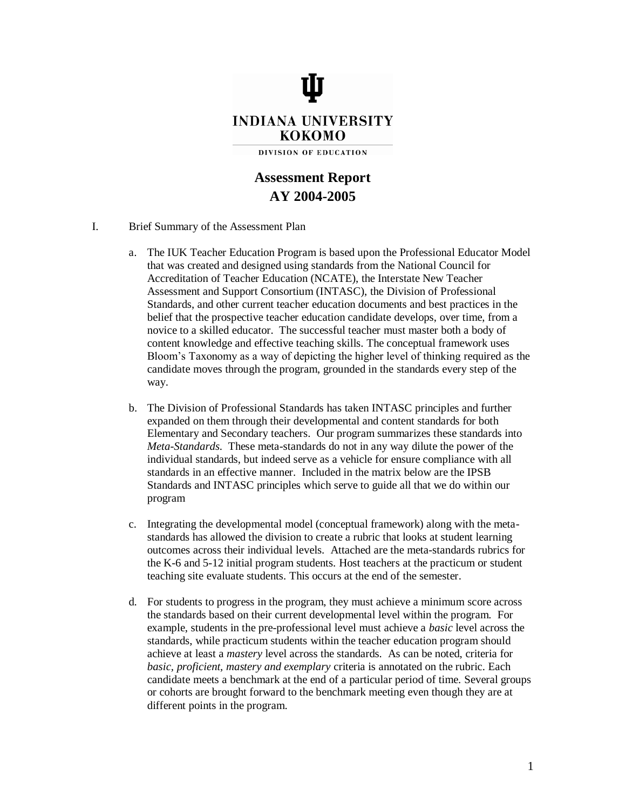

# **Assessment Report AY 2004-2005**

## I. Brief Summary of the Assessment Plan

- a. The IUK Teacher Education Program is based upon the Professional Educator Model that was created and designed using standards from the National Council for Accreditation of Teacher Education (NCATE), the Interstate New Teacher Assessment and Support Consortium (INTASC), the Division of Professional Standards, and other current teacher education documents and best practices in the belief that the prospective teacher education candidate develops, over time, from a novice to a skilled educator. The successful teacher must master both a body of content knowledge and effective teaching skills. The conceptual framework uses Bloom's Taxonomy as a way of depicting the higher level of thinking required as the candidate moves through the program, grounded in the standards every step of the way.
- b. The Division of Professional Standards has taken INTASC principles and further expanded on them through their developmental and content standards for both Elementary and Secondary teachers. Our program summarizes these standards into *Meta-Standards.* These meta-standards do not in any way dilute the power of the individual standards, but indeed serve as a vehicle for ensure compliance with all standards in an effective manner. Included in the matrix below are the IPSB Standards and INTASC principles which serve to guide all that we do within our program
- c. Integrating the developmental model (conceptual framework) along with the metastandards has allowed the division to create a rubric that looks at student learning outcomes across their individual levels. Attached are the meta-standards rubrics for the K-6 and 5-12 initial program students. Host teachers at the practicum or student teaching site evaluate students. This occurs at the end of the semester.
- d. For students to progress in the program, they must achieve a minimum score across the standards based on their current developmental level within the program. For example, students in the pre-professional level must achieve a *basic* level across the standards, while practicum students within the teacher education program should achieve at least a *mastery* level across the standards. As can be noted, criteria for *basic, proficient, mastery and exemplary* criteria is annotated on the rubric. Each candidate meets a benchmark at the end of a particular period of time. Several groups or cohorts are brought forward to the benchmark meeting even though they are at different points in the program.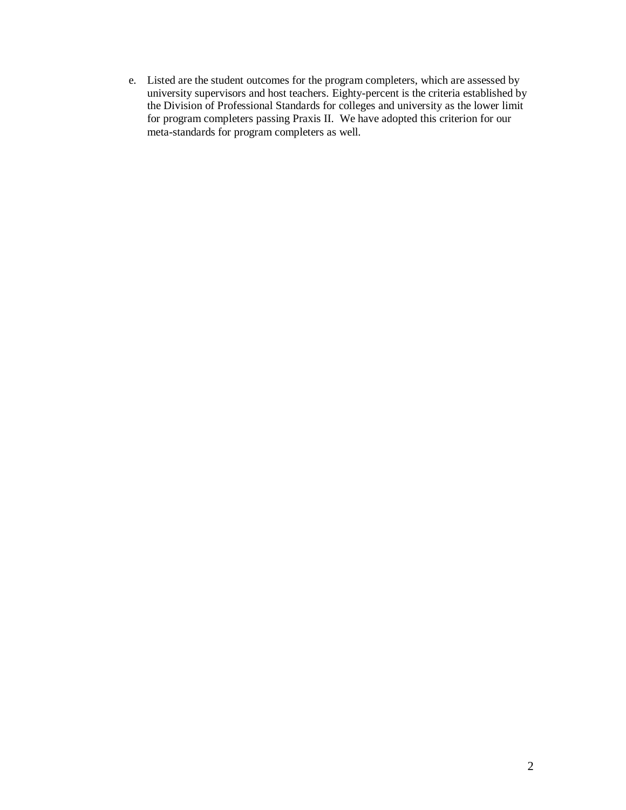e. Listed are the student outcomes for the program completers, which are assessed by university supervisors and host teachers. Eighty-percent is the criteria established by the Division of Professional Standards for colleges and university as the lower limit for program completers passing Praxis II. We have adopted this criterion for our meta-standards for program completers as well.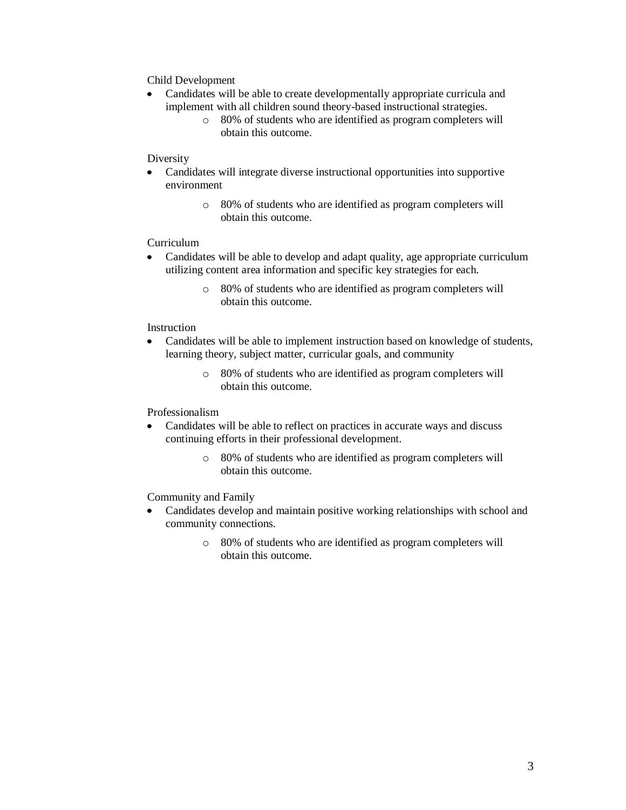Child Development

- Candidates will be able to create developmentally appropriate curricula and implement with all children sound theory-based instructional strategies.
	- o 80% of students who are identified as program completers will obtain this outcome.

## Diversity

- Candidates will integrate diverse instructional opportunities into supportive environment
	- o 80% of students who are identified as program completers will obtain this outcome.

# Curriculum

- $\bullet$ Candidates will be able to develop and adapt quality, age appropriate curriculum utilizing content area information and specific key strategies for each.
	- o 80% of students who are identified as program completers will obtain this outcome.

## Instruction

- $\bullet$ Candidates will be able to implement instruction based on knowledge of students, learning theory, subject matter, curricular goals, and community
	- o 80% of students who are identified as program completers will obtain this outcome.

## Professionalism

- Candidates will be able to reflect on practices in accurate ways and discuss continuing efforts in their professional development.
	- o 80% of students who are identified as program completers will obtain this outcome.

# Community and Family

- $\bullet$ Candidates develop and maintain positive working relationships with school and community connections.
	- o 80% of students who are identified as program completers will obtain this outcome.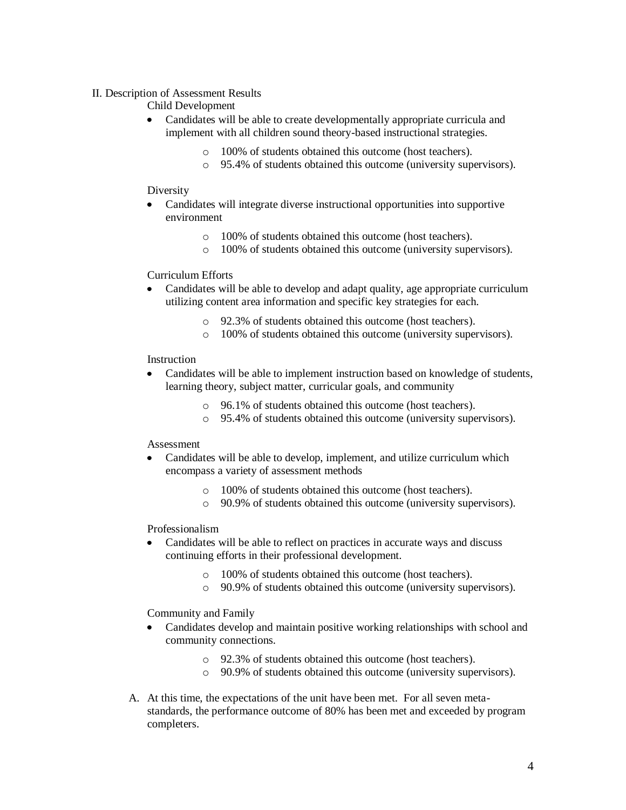## II. Description of Assessment Results

Child Development

- Candidates will be able to create developmentally appropriate curricula and implement with all children sound theory-based instructional strategies.
	- o 100% of students obtained this outcome (host teachers).
	- o 95.4% of students obtained this outcome (university supervisors).

## Diversity

- Candidates will integrate diverse instructional opportunities into supportive environment
	- o 100% of students obtained this outcome (host teachers).
	- o 100% of students obtained this outcome (university supervisors).

## Curriculum Efforts

- Candidates will be able to develop and adapt quality, age appropriate curriculum  $\bullet$ utilizing content area information and specific key strategies for each.
	- o 92.3% of students obtained this outcome (host teachers).
	- o 100% of students obtained this outcome (university supervisors).

## Instruction

- Candidates will be able to implement instruction based on knowledge of students,  $\bullet$ learning theory, subject matter, curricular goals, and community
	- o 96.1% of students obtained this outcome (host teachers).
	- o 95.4% of students obtained this outcome (university supervisors).

#### Assessment

- Candidates will be able to develop, implement, and utilize curriculum which  $\bullet$ encompass a variety of assessment methods
	- o 100% of students obtained this outcome (host teachers).
	- o 90.9% of students obtained this outcome (university supervisors).

# Professionalism

- Candidates will be able to reflect on practices in accurate ways and discuss  $\bullet$ continuing efforts in their professional development.
	- o 100% of students obtained this outcome (host teachers).
	- o 90.9% of students obtained this outcome (university supervisors).

# Community and Family

- Candidates develop and maintain positive working relationships with school and  $\bullet$ community connections.
	- o 92.3% of students obtained this outcome (host teachers).
	- o 90.9% of students obtained this outcome (university supervisors).
- A. At this time, the expectations of the unit have been met. For all seven metastandards, the performance outcome of 80% has been met and exceeded by program completers.